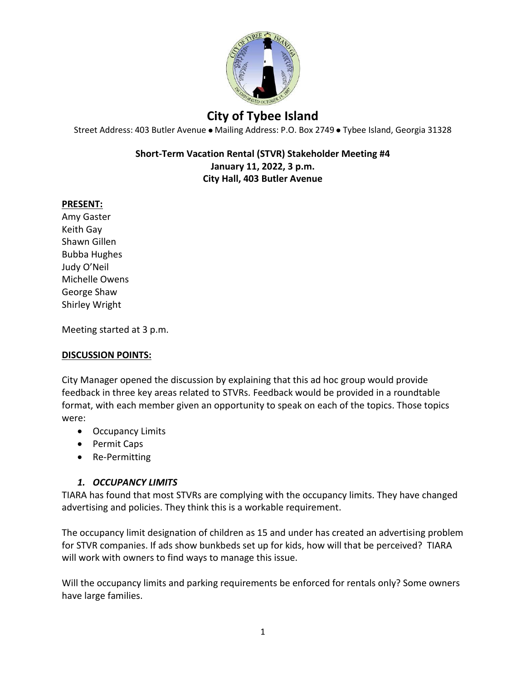

Street Address: 403 Butler Avenue · Mailing Address: P.O. Box 2749 · Tybee Island, Georgia 31328

#### **Short-Term Vacation Rental (STVR) Stakeholder Meeting #4 January 11, 2022, 3 p.m. City Hall, 403 Butler Avenue**

#### **PRESENT:**

Amy Gaster Keith Gay Shawn Gillen Bubba Hughes Judy O'Neil Michelle Owens George Shaw Shirley Wright

Meeting started at 3 p.m.

#### **DISCUSSION POINTS:**

City Manager opened the discussion by explaining that this ad hoc group would provide feedback in three key areas related to STVRs. Feedback would be provided in a roundtable format, with each member given an opportunity to speak on each of the topics. Those topics were:

- Occupancy Limits
- Permit Caps
- Re-Permitting

#### *1. OCCUPANCY LIMITS*

TIARA has found that most STVRs are complying with the occupancy limits. They have changed advertising and policies. They think this is a workable requirement.

The occupancy limit designation of children as 15 and under has created an advertising problem for STVR companies. If ads show bunkbeds set up for kids, how will that be perceived? TIARA will work with owners to find ways to manage this issue.

Will the occupancy limits and parking requirements be enforced for rentals only? Some owners have large families.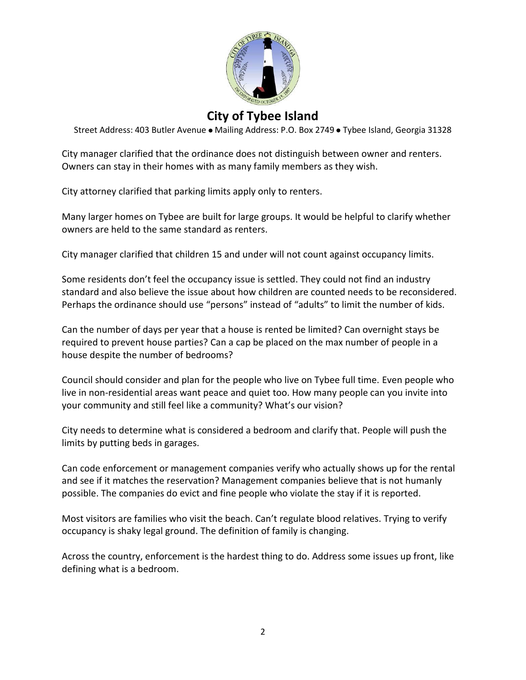

Street Address: 403 Butler Avenue . Mailing Address: P.O. Box 2749 . Tybee Island, Georgia 31328

City manager clarified that the ordinance does not distinguish between owner and renters. Owners can stay in their homes with as many family members as they wish.

City attorney clarified that parking limits apply only to renters.

Many larger homes on Tybee are built for large groups. It would be helpful to clarify whether owners are held to the same standard as renters.

City manager clarified that children 15 and under will not count against occupancy limits.

Some residents don't feel the occupancy issue is settled. They could not find an industry standard and also believe the issue about how children are counted needs to be reconsidered. Perhaps the ordinance should use "persons" instead of "adults" to limit the number of kids.

Can the number of days per year that a house is rented be limited? Can overnight stays be required to prevent house parties? Can a cap be placed on the max number of people in a house despite the number of bedrooms?

Council should consider and plan for the people who live on Tybee full time. Even people who live in non-residential areas want peace and quiet too. How many people can you invite into your community and still feel like a community? What's our vision?

City needs to determine what is considered a bedroom and clarify that. People will push the limits by putting beds in garages.

Can code enforcement or management companies verify who actually shows up for the rental and see if it matches the reservation? Management companies believe that is not humanly possible. The companies do evict and fine people who violate the stay if it is reported.

Most visitors are families who visit the beach. Can't regulate blood relatives. Trying to verify occupancy is shaky legal ground. The definition of family is changing.

Across the country, enforcement is the hardest thing to do. Address some issues up front, like defining what is a bedroom.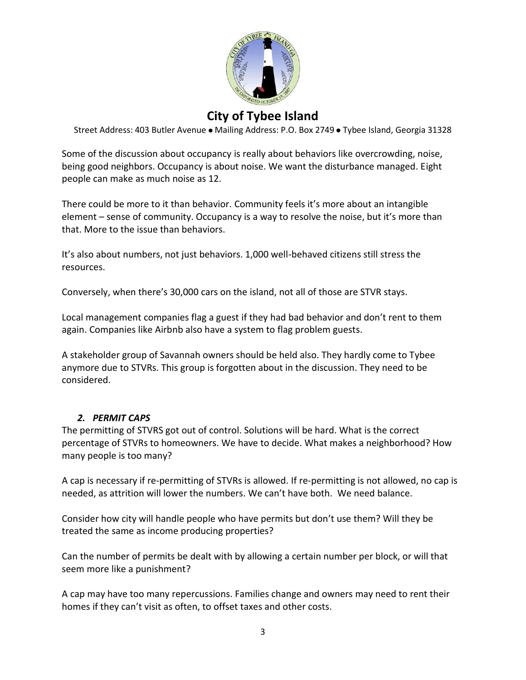

Street Address: 403 Butler Avenue . Mailing Address: P.O. Box 2749 . Tybee Island, Georgia 31328

Some of the discussion about occupancy is really about behaviors like overcrowding, noise, being good neighbors. Occupancy is about noise. We want the disturbance managed. Eight people can make as much noise as 12.

There could be more to it than behavior. Community feels it's more about an intangible element – sense of community. Occupancy is a way to resolve the noise, but it's more than that. More to the issue than behaviors.

It's also about numbers, not just behaviors. 1,000 well-behaved citizens still stress the resources.

Conversely, when there's 30,000 cars on the island, not all of those are STVR stays.

Local management companies flag a guest if they had bad behavior and don't rent to them again. Companies like Airbnb also have a system to flag problem guests.

A stakeholder group of Savannah owners should be held also. They hardly come to Tybee anymore due to STVRs. This group is forgotten about in the discussion. They need to be considered.

### *2. PERMIT CAPS*

The permitting of STVRS got out of control. Solutions will be hard. What is the correct percentage of STVRs to homeowners. We have to decide. What makes a neighborhood? How many people is too many?

A cap is necessary if re-permitting of STVRs is allowed. If re-permitting is not allowed, no cap is needed, as attrition will lower the numbers. We can't have both. We need balance.

Consider how city will handle people who have permits but don't use them? Will they be treated the same as income producing properties?

Can the number of permits be dealt with by allowing a certain number per block, or will that seem more like a punishment?

A cap may have too many repercussions. Families change and owners may need to rent their homes if they can't visit as often, to offset taxes and other costs.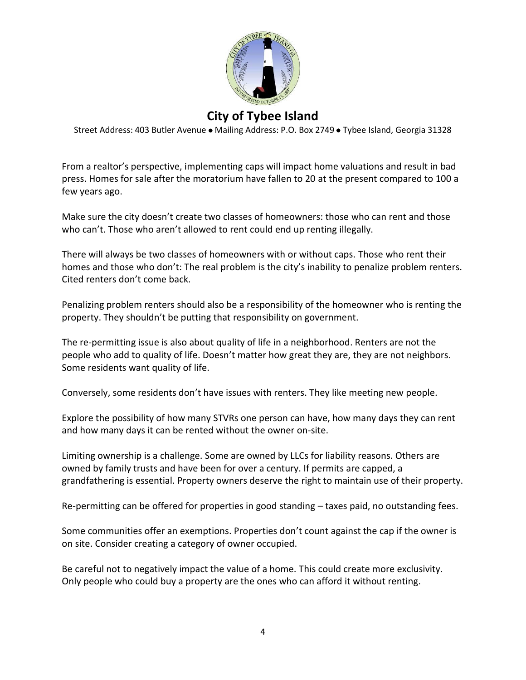

Street Address: 403 Butler Avenue . Mailing Address: P.O. Box 2749 . Tybee Island, Georgia 31328

From a realtor's perspective, implementing caps will impact home valuations and result in bad press. Homes for sale after the moratorium have fallen to 20 at the present compared to 100 a few years ago.

Make sure the city doesn't create two classes of homeowners: those who can rent and those who can't. Those who aren't allowed to rent could end up renting illegally.

There will always be two classes of homeowners with or without caps. Those who rent their homes and those who don't: The real problem is the city's inability to penalize problem renters. Cited renters don't come back.

Penalizing problem renters should also be a responsibility of the homeowner who is renting the property. They shouldn't be putting that responsibility on government.

The re-permitting issue is also about quality of life in a neighborhood. Renters are not the people who add to quality of life. Doesn't matter how great they are, they are not neighbors. Some residents want quality of life.

Conversely, some residents don't have issues with renters. They like meeting new people.

Explore the possibility of how many STVRs one person can have, how many days they can rent and how many days it can be rented without the owner on-site.

Limiting ownership is a challenge. Some are owned by LLCs for liability reasons. Others are owned by family trusts and have been for over a century. If permits are capped, a grandfathering is essential. Property owners deserve the right to maintain use of their property.

Re-permitting can be offered for properties in good standing – taxes paid, no outstanding fees.

Some communities offer an exemptions. Properties don't count against the cap if the owner is on site. Consider creating a category of owner occupied.

Be careful not to negatively impact the value of a home. This could create more exclusivity. Only people who could buy a property are the ones who can afford it without renting.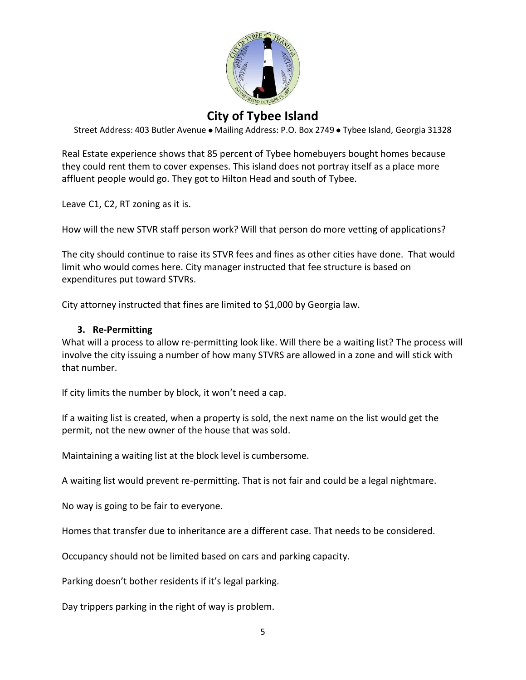

Street Address: 403 Butler Avenue . Mailing Address: P.O. Box 2749 . Tybee Island, Georgia 31328

Real Estate experience shows that 85 percent of Tybee homebuyers bought homes because they could rent them to cover expenses. This island does not portray itself as a place more affluent people would go. They got to Hilton Head and south of Tybee.

Leave C1, C2, RT zoning as it is.

How will the new STVR staff person work? Will that person do more vetting of applications?

The city should continue to raise its STVR fees and fines as other cities have done. That would limit who would comes here. City manager instructed that fee structure is based on expenditures put toward STVRs.

City attorney instructed that fines are limited to \$1,000 by Georgia law.

#### **3. Re-Permitting**

What will a process to allow re-permitting look like. Will there be a waiting list? The process will involve the city issuing a number of how many STVRS are allowed in a zone and will stick with that number.

If city limits the number by block, it won't need a cap.

If a waiting list is created, when a property is sold, the next name on the list would get the permit, not the new owner of the house that was sold.

Maintaining a waiting list at the block level is cumbersome.

A waiting list would prevent re-permitting. That is not fair and could be a legal nightmare.

No way is going to be fair to everyone.

Homes that transfer due to inheritance are a different case. That needs to be considered.

Occupancy should not be limited based on cars and parking capacity.

Parking doesn't bother residents if it's legal parking.

Day trippers parking in the right of way is problem.